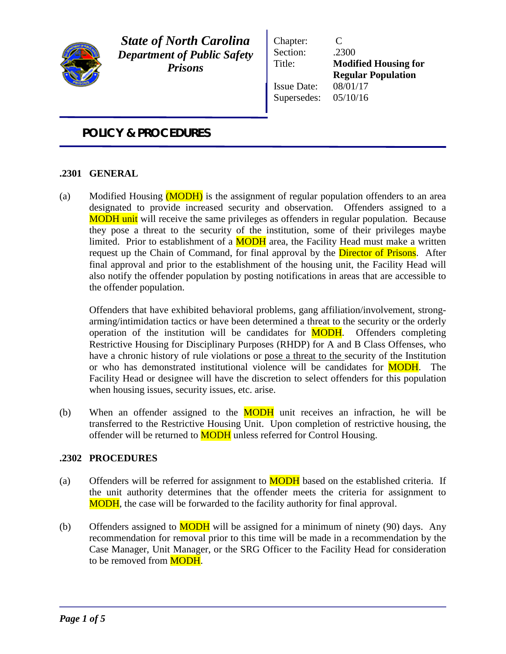

*State of North Carolina Department of Public Safety Prisons*

Chapter: C Section: .2300 Title: **Modified Housing for Regular Population** Issue Date: 08/01/17 Supersedes: 05/10/16

# *POLICY & PROCEDURES*

# **.2301 GENERAL**

(a) Modified Housing (MODH) is the assignment of regular population offenders to an area designated to provide increased security and observation. Offenders assigned to a **MODH** unit will receive the same privileges as offenders in regular population. Because they pose a threat to the security of the institution, some of their privileges maybe limited. Prior to establishment of a **MODH** area, the Facility Head must make a written request up the Chain of Command, for final approval by the **Director of Prisons**. After final approval and prior to the establishment of the housing unit, the Facility Head will also notify the offender population by posting notifications in areas that are accessible to the offender population.

Offenders that have exhibited behavioral problems, gang affiliation/involvement, strongarming/intimidation tactics or have been determined a threat to the security or the orderly operation of the institution will be candidates for **MODH**. Offenders completing Restrictive Housing for Disciplinary Purposes (RHDP) for A and B Class Offenses, who have a chronic history of rule violations or pose a threat to the security of the Institution or who has demonstrated institutional violence will be candidates for **MODH**. The Facility Head or designee will have the discretion to select offenders for this population when housing issues, security issues, etc. arise.

(b) When an offender assigned to the  $\overline{MODH}$  unit receives an infraction, he will be transferred to the Restrictive Housing Unit. Upon completion of restrictive housing, the offender will be returned to **MODH** unless referred for Control Housing.

## **.2302 PROCEDURES**

- (a) Offenders will be referred for assignment to  $\overline{MODH}$  based on the established criteria. If the unit authority determines that the offender meets the criteria for assignment to **MODH**, the case will be forwarded to the facility authority for final approval.
- (b) Offenders assigned to  $\overline{MODH}$  will be assigned for a minimum of ninety (90) days. Any recommendation for removal prior to this time will be made in a recommendation by the Case Manager, Unit Manager, or the SRG Officer to the Facility Head for consideration to be removed from **MODH**.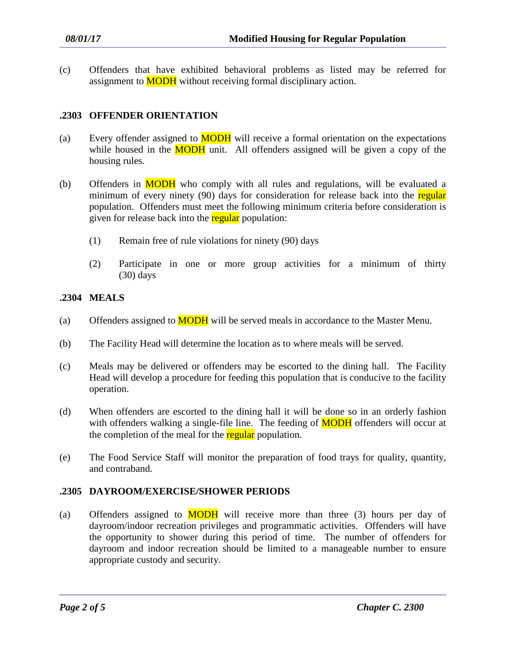(c) Offenders that have exhibited behavioral problems as listed may be referred for assignment to **MODH** without receiving formal disciplinary action.

# **.2303 OFFENDER ORIENTATION**

- (a) Every offender assigned to  $\overline{MODH}$  will receive a formal orientation on the expectations while housed in the **MODH** unit. All offenders assigned will be given a copy of the housing rules.
- (b) Offenders in MODH who comply with all rules and regulations, will be evaluated a minimum of every ninety (90) days for consideration for release back into the regular population. Offenders must meet the following minimum criteria before consideration is given for release back into the regular population:
	- (1) Remain free of rule violations for ninety (90) days
	- (2) Participate in one or more group activities for a minimum of thirty (30) days

# **.2304 MEALS**

- (a) Offenders assigned to **MODH** will be served meals in accordance to the Master Menu.
- (b) The Facility Head will determine the location as to where meals will be served.
- (c) Meals may be delivered or offenders may be escorted to the dining hall. The Facility Head will develop a procedure for feeding this population that is conducive to the facility operation.
- (d) When offenders are escorted to the dining hall it will be done so in an orderly fashion with offenders walking a single-file line. The feeding of **MODH** offenders will occur at the completion of the meal for the regular population.
- (e) The Food Service Staff will monitor the preparation of food trays for quality, quantity, and contraband.

## **.2305 DAYROOM/EXERCISE/SHOWER PERIODS**

(a) Offenders assigned to  $MODH$  will receive more than three (3) hours per day of dayroom/indoor recreation privileges and programmatic activities. Offenders will have the opportunity to shower during this period of time. The number of offenders for dayroom and indoor recreation should be limited to a manageable number to ensure appropriate custody and security.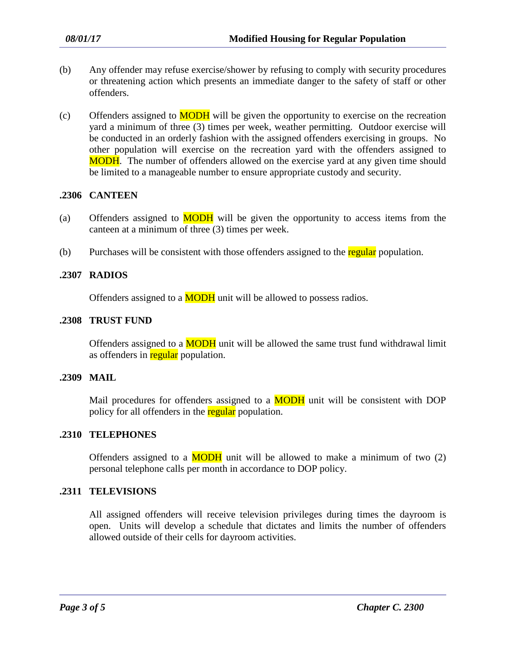- (b) Any offender may refuse exercise/shower by refusing to comply with security procedures or threatening action which presents an immediate danger to the safety of staff or other offenders.
- $(c)$  Offenders assigned to **MODH** will be given the opportunity to exercise on the recreation yard a minimum of three (3) times per week, weather permitting. Outdoor exercise will be conducted in an orderly fashion with the assigned offenders exercising in groups. No other population will exercise on the recreation yard with the offenders assigned to **MODH**. The number of offenders allowed on the exercise yard at any given time should be limited to a manageable number to ensure appropriate custody and security.

## **.2306 CANTEEN**

- (a) Offenders assigned to  $\overline{MODH}$  will be given the opportunity to access items from the canteen at a minimum of three (3) times per week.
- (b) Purchases will be consistent with those offenders assigned to the regular population.

## **.2307 RADIOS**

Offenders assigned to a **MODH** unit will be allowed to possess radios.

## **.2308 TRUST FUND**

Offenders assigned to a **MODH** unit will be allowed the same trust fund withdrawal limit as offenders in regular population.

#### **.2309 MAIL**

Mail procedures for offenders assigned to a **MODH** unit will be consistent with DOP policy for all offenders in the regular population.

#### **.2310 TELEPHONES**

Offenders assigned to a  $MODH$  unit will be allowed to make a minimum of two  $(2)$ personal telephone calls per month in accordance to DOP policy.

# **.2311 TELEVISIONS**

All assigned offenders will receive television privileges during times the dayroom is open. Units will develop a schedule that dictates and limits the number of offenders allowed outside of their cells for dayroom activities.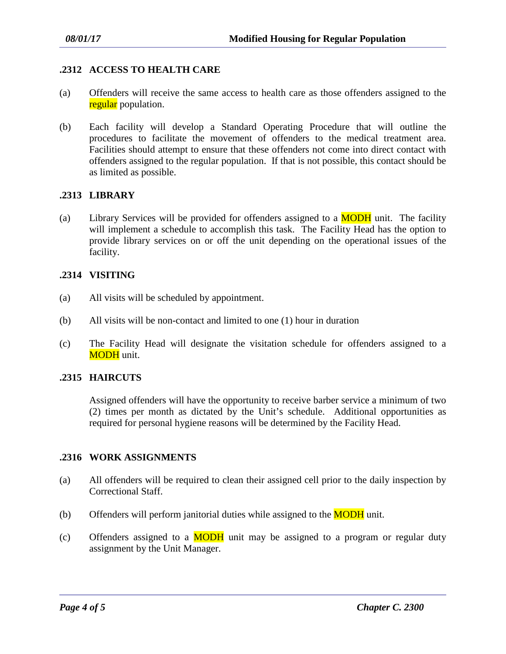# **.2312 ACCESS TO HEALTH CARE**

- (a) Offenders will receive the same access to health care as those offenders assigned to the regular population.
- (b) Each facility will develop a Standard Operating Procedure that will outline the procedures to facilitate the movement of offenders to the medical treatment area. Facilities should attempt to ensure that these offenders not come into direct contact with offenders assigned to the regular population. If that is not possible, this contact should be as limited as possible.

## **.2313 LIBRARY**

(a) Library Services will be provided for offenders assigned to a  $\overline{MODH}$  unit. The facility will implement a schedule to accomplish this task. The Facility Head has the option to provide library services on or off the unit depending on the operational issues of the facility.

# **.2314 VISITING**

- (a) All visits will be scheduled by appointment.
- (b) All visits will be non-contact and limited to one (1) hour in duration
- (c) The Facility Head will designate the visitation schedule for offenders assigned to a MODH unit.

# **.2315 HAIRCUTS**

Assigned offenders will have the opportunity to receive barber service a minimum of two (2) times per month as dictated by the Unit's schedule. Additional opportunities as required for personal hygiene reasons will be determined by the Facility Head.

## **.2316 WORK ASSIGNMENTS**

- (a) All offenders will be required to clean their assigned cell prior to the daily inspection by Correctional Staff.
- (b) Offenders will perform janitorial duties while assigned to the  $\text{MODH}$  unit.
- (c) Offenders assigned to a  $MODH$  unit may be assigned to a program or regular duty assignment by the Unit Manager.